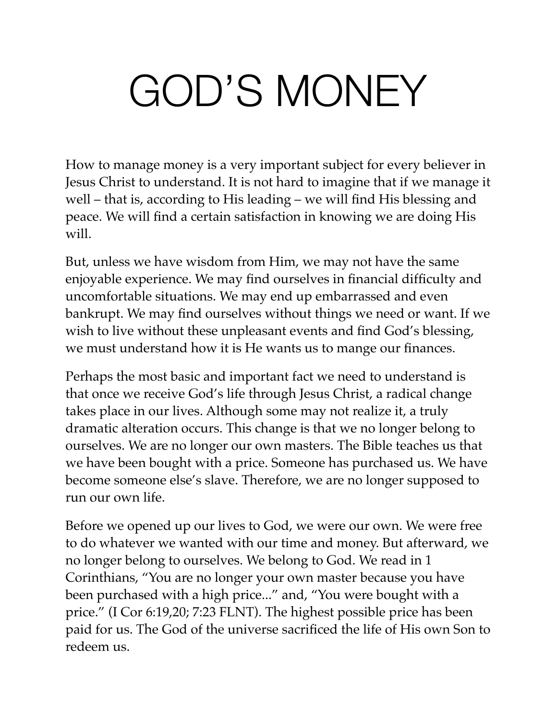# GOD'S MONEY

How to manage money is a very important subject for every believer in Jesus Christ to understand. It is not hard to imagine that if we manage it well – that is, according to His leading – we will find His blessing and peace. We will find a certain satisfaction in knowing we are doing His will.

But, unless we have wisdom from Him, we may not have the same enjoyable experience. We may find ourselves in financial difficulty and uncomfortable situations. We may end up embarrassed and even bankrupt. We may find ourselves without things we need or want. If we wish to live without these unpleasant events and find God's blessing, we must understand how it is He wants us to mange our finances.

Perhaps the most basic and important fact we need to understand is that once we receive God's life through Jesus Christ, a radical change takes place in our lives. Although some may not realize it, a truly dramatic alteration occurs. This change is that we no longer belong to ourselves. We are no longer our own masters. The Bible teaches us that we have been bought with a price. Someone has purchased us. We have become someone else's slave. Therefore, we are no longer supposed to run our own life.

Before we opened up our lives to God, we were our own. We were free to do whatever we wanted with our time and money. But afterward, we no longer belong to ourselves. We belong to God. We read in 1 Corinthians, "You are no longer your own master because you have been purchased with a high price..." and, "You were bought with a price." (I Cor 6:19,20; 7:23 FLNT). The highest possible price has been paid for us. The God of the universe sacrificed the life of His own Son to redeem us.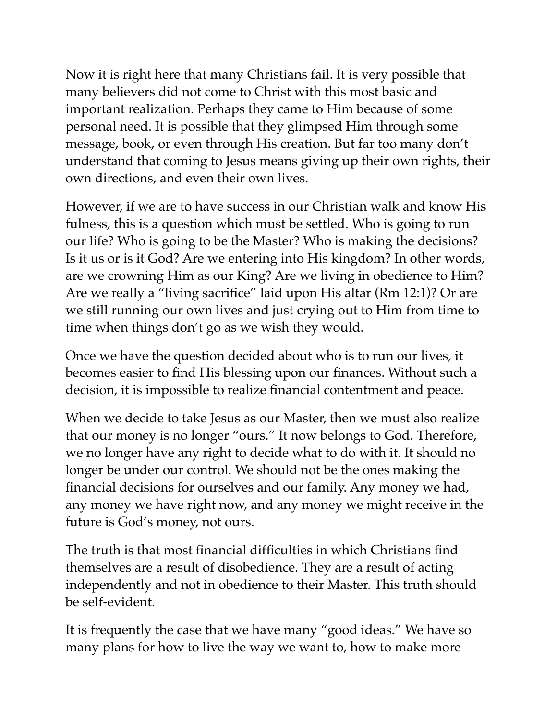Now it is right here that many Christians fail. It is very possible that many believers did not come to Christ with this most basic and important realization. Perhaps they came to Him because of some personal need. It is possible that they glimpsed Him through some message, book, or even through His creation. But far too many don't understand that coming to Jesus means giving up their own rights, their own directions, and even their own lives.

However, if we are to have success in our Christian walk and know His fulness, this is a question which must be settled. Who is going to run our life? Who is going to be the Master? Who is making the decisions? Is it us or is it God? Are we entering into His kingdom? In other words, are we crowning Him as our King? Are we living in obedience to Him? Are we really a "living sacrifice" laid upon His altar (Rm 12:1)? Or are we still running our own lives and just crying out to Him from time to time when things don't go as we wish they would.

Once we have the question decided about who is to run our lives, it becomes easier to find His blessing upon our finances. Without such a decision, it is impossible to realize financial contentment and peace.

When we decide to take Jesus as our Master, then we must also realize that our money is no longer "ours." It now belongs to God. Therefore, we no longer have any right to decide what to do with it. It should no longer be under our control. We should not be the ones making the financial decisions for ourselves and our family. Any money we had, any money we have right now, and any money we might receive in the future is God's money, not ours.

The truth is that most financial difficulties in which Christians find themselves are a result of disobedience. They are a result of acting independently and not in obedience to their Master. This truth should be self-evident.

It is frequently the case that we have many "good ideas." We have so many plans for how to live the way we want to, how to make more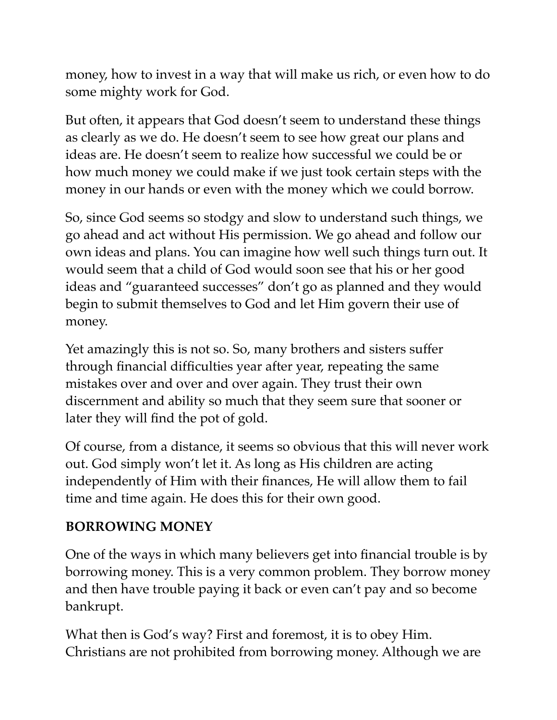money, how to invest in a way that will make us rich, or even how to do some mighty work for God.

But often, it appears that God doesn't seem to understand these things as clearly as we do. He doesn't seem to see how great our plans and ideas are. He doesn't seem to realize how successful we could be or how much money we could make if we just took certain steps with the money in our hands or even with the money which we could borrow.

So, since God seems so stodgy and slow to understand such things, we go ahead and act without His permission. We go ahead and follow our own ideas and plans. You can imagine how well such things turn out. It would seem that a child of God would soon see that his or her good ideas and "guaranteed successes" don't go as planned and they would begin to submit themselves to God and let Him govern their use of money.

Yet amazingly this is not so. So, many brothers and sisters suffer through financial difficulties year after year, repeating the same mistakes over and over and over again. They trust their own discernment and ability so much that they seem sure that sooner or later they will find the pot of gold.

Of course, from a distance, it seems so obvious that this will never work out. God simply won't let it. As long as His children are acting independently of Him with their finances, He will allow them to fail time and time again. He does this for their own good.

#### **BORROWING MONEY**

One of the ways in which many believers get into financial trouble is by borrowing money. This is a very common problem. They borrow money and then have trouble paying it back or even can't pay and so become bankrupt.

What then is God's way? First and foremost, it is to obey Him. Christians are not prohibited from borrowing money. Although we are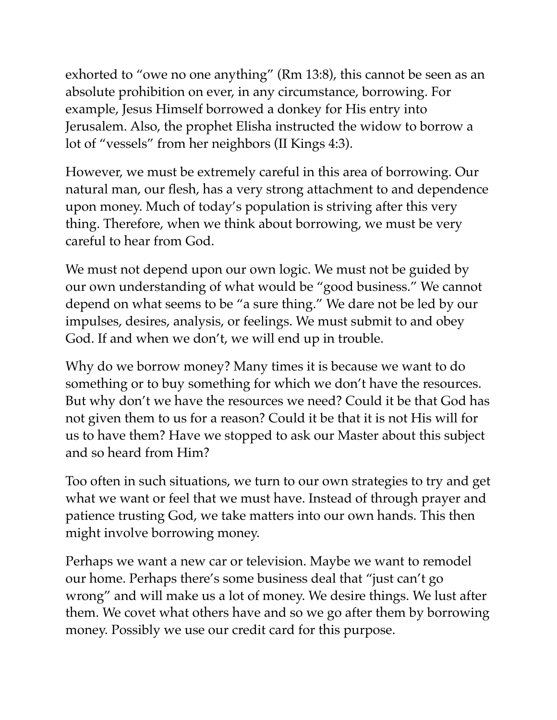exhorted to "owe no one anything" (Rm 13:8), this cannot be seen as an absolute prohibition on ever, in any circumstance, borrowing. For example, Jesus Himself borrowed a donkey for His entry into Jerusalem. Also, the prophet Elisha instructed the widow to borrow a lot of "vessels" from her neighbors (II Kings 4:3).

However, we must be extremely careful in this area of borrowing. Our natural man, our flesh, has a very strong attachment to and dependence upon money. Much of today's population is striving after this very thing. Therefore, when we think about borrowing, we must be very careful to hear from God.

We must not depend upon our own logic. We must not be guided by our own understanding of what would be "good business." We cannot depend on what seems to be "a sure thing." We dare not be led by our impulses, desires, analysis, or feelings. We must submit to and obey God. If and when we don't, we will end up in trouble.

Why do we borrow money? Many times it is because we want to do something or to buy something for which we don't have the resources. But why don't we have the resources we need? Could it be that God has not given them to us for a reason? Could it be that it is not His will for us to have them? Have we stopped to ask our Master about this subject and so heard from Him?

Too often in such situations, we turn to our own strategies to try and get what we want or feel that we must have. Instead of through prayer and patience trusting God, we take matters into our own hands. This then might involve borrowing money.

Perhaps we want a new car or television. Maybe we want to remodel our home. Perhaps there's some business deal that "just can't go wrong" and will make us a lot of money. We desire things. We lust after them. We covet what others have and so we go after them by borrowing money. Possibly we use our credit card for this purpose.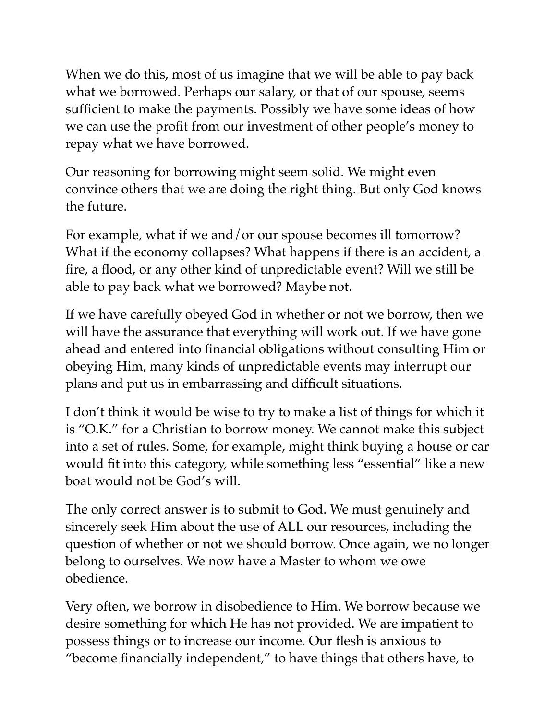When we do this, most of us imagine that we will be able to pay back what we borrowed. Perhaps our salary, or that of our spouse, seems sufficient to make the payments. Possibly we have some ideas of how we can use the profit from our investment of other people's money to repay what we have borrowed.

Our reasoning for borrowing might seem solid. We might even convince others that we are doing the right thing. But only God knows the future.

For example, what if we and/or our spouse becomes ill tomorrow? What if the economy collapses? What happens if there is an accident, a fire, a flood, or any other kind of unpredictable event? Will we still be able to pay back what we borrowed? Maybe not.

If we have carefully obeyed God in whether or not we borrow, then we will have the assurance that everything will work out. If we have gone ahead and entered into financial obligations without consulting Him or obeying Him, many kinds of unpredictable events may interrupt our plans and put us in embarrassing and difficult situations.

I don't think it would be wise to try to make a list of things for which it is "O.K." for a Christian to borrow money. We cannot make this subject into a set of rules. Some, for example, might think buying a house or car would fit into this category, while something less "essential" like a new boat would not be God's will.

The only correct answer is to submit to God. We must genuinely and sincerely seek Him about the use of ALL our resources, including the question of whether or not we should borrow. Once again, we no longer belong to ourselves. We now have a Master to whom we owe obedience.

Very often, we borrow in disobedience to Him. We borrow because we desire something for which He has not provided. We are impatient to possess things or to increase our income. Our flesh is anxious to "become financially independent," to have things that others have, to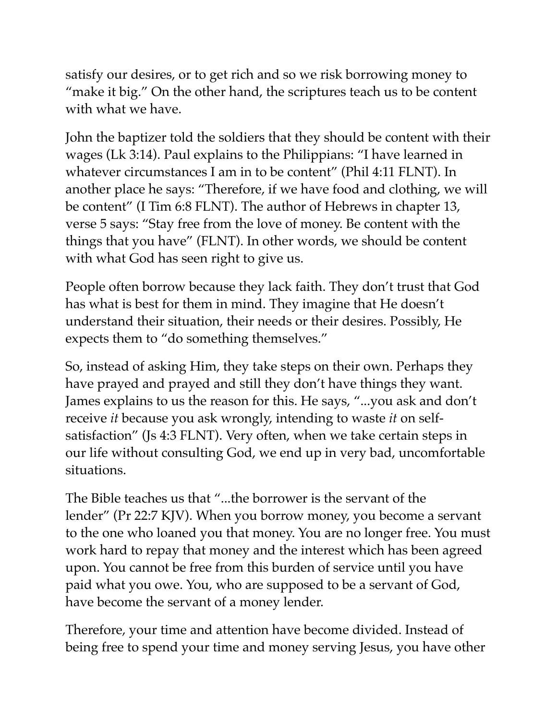satisfy our desires, or to get rich and so we risk borrowing money to "make it big." On the other hand, the scriptures teach us to be content with what we have.

John the baptizer told the soldiers that they should be content with their wages (Lk 3:14). Paul explains to the Philippians: "I have learned in whatever circumstances I am in to be content" (Phil 4:11 FLNT). In another place he says: "Therefore, if we have food and clothing, we will be content" (I Tim 6:8 FLNT). The author of Hebrews in chapter 13, verse 5 says: "Stay free from the love of money. Be content with the things that you have" (FLNT). In other words, we should be content with what God has seen right to give us.

People often borrow because they lack faith. They don't trust that God has what is best for them in mind. They imagine that He doesn't understand their situation, their needs or their desires. Possibly, He expects them to "do something themselves."

So, instead of asking Him, they take steps on their own. Perhaps they have prayed and prayed and still they don't have things they want. James explains to us the reason for this. He says, "...you ask and don't receive *it* because you ask wrongly, intending to waste *it* on selfsatisfaction" (Js 4:3 FLNT). Very often, when we take certain steps in our life without consulting God, we end up in very bad, uncomfortable situations.

The Bible teaches us that "...the borrower is the servant of the lender" (Pr 22:7 KJV). When you borrow money, you become a servant to the one who loaned you that money. You are no longer free. You must work hard to repay that money and the interest which has been agreed upon. You cannot be free from this burden of service until you have paid what you owe. You, who are supposed to be a servant of God, have become the servant of a money lender.

Therefore, your time and attention have become divided. Instead of being free to spend your time and money serving Jesus, you have other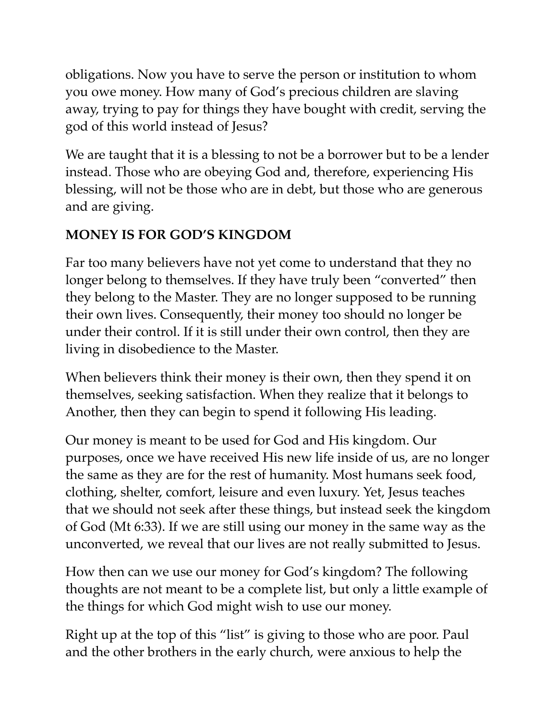obligations. Now you have to serve the person or institution to whom you owe money. How many of God's precious children are slaving away, trying to pay for things they have bought with credit, serving the god of this world instead of Jesus?

We are taught that it is a blessing to not be a borrower but to be a lender instead. Those who are obeying God and, therefore, experiencing His blessing, will not be those who are in debt, but those who are generous and are giving.

## **MONEY IS FOR GOD'S KINGDOM**

Far too many believers have not yet come to understand that they no longer belong to themselves. If they have truly been "converted" then they belong to the Master. They are no longer supposed to be running their own lives. Consequently, their money too should no longer be under their control. If it is still under their own control, then they are living in disobedience to the Master.

When believers think their money is their own, then they spend it on themselves, seeking satisfaction. When they realize that it belongs to Another, then they can begin to spend it following His leading.

Our money is meant to be used for God and His kingdom. Our purposes, once we have received His new life inside of us, are no longer the same as they are for the rest of humanity. Most humans seek food, clothing, shelter, comfort, leisure and even luxury. Yet, Jesus teaches that we should not seek after these things, but instead seek the kingdom of God (Mt 6:33). If we are still using our money in the same way as the unconverted, we reveal that our lives are not really submitted to Jesus.

How then can we use our money for God's kingdom? The following thoughts are not meant to be a complete list, but only a little example of the things for which God might wish to use our money.

Right up at the top of this "list" is giving to those who are poor. Paul and the other brothers in the early church, were anxious to help the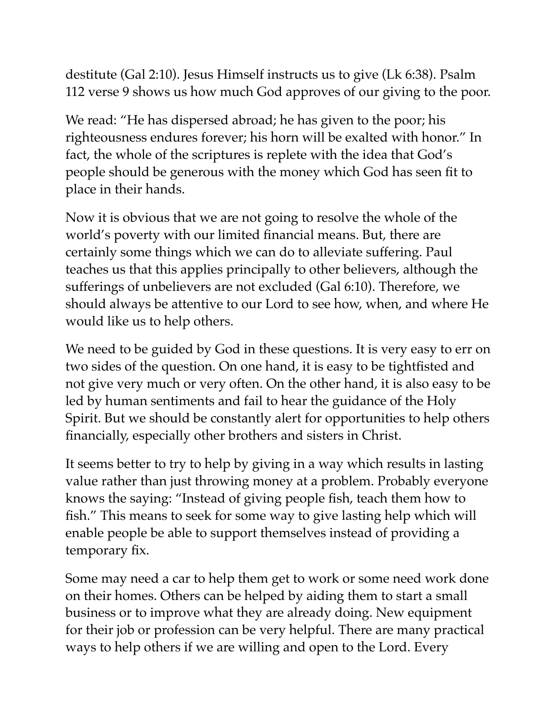destitute (Gal 2:10). Jesus Himself instructs us to give (Lk 6:38). Psalm 112 verse 9 shows us how much God approves of our giving to the poor.

We read: "He has dispersed abroad; he has given to the poor; his righteousness endures forever; his horn will be exalted with honor." In fact, the whole of the scriptures is replete with the idea that God's people should be generous with the money which God has seen fit to place in their hands.

Now it is obvious that we are not going to resolve the whole of the world's poverty with our limited financial means. But, there are certainly some things which we can do to alleviate suffering. Paul teaches us that this applies principally to other believers, although the sufferings of unbelievers are not excluded (Gal 6:10). Therefore, we should always be attentive to our Lord to see how, when, and where He would like us to help others.

We need to be guided by God in these questions. It is very easy to err on two sides of the question. On one hand, it is easy to be tightfisted and not give very much or very often. On the other hand, it is also easy to be led by human sentiments and fail to hear the guidance of the Holy Spirit. But we should be constantly alert for opportunities to help others financially, especially other brothers and sisters in Christ.

It seems better to try to help by giving in a way which results in lasting value rather than just throwing money at a problem. Probably everyone knows the saying: "Instead of giving people fish, teach them how to fish." This means to seek for some way to give lasting help which will enable people be able to support themselves instead of providing a temporary fix.

Some may need a car to help them get to work or some need work done on their homes. Others can be helped by aiding them to start a small business or to improve what they are already doing. New equipment for their job or profession can be very helpful. There are many practical ways to help others if we are willing and open to the Lord. Every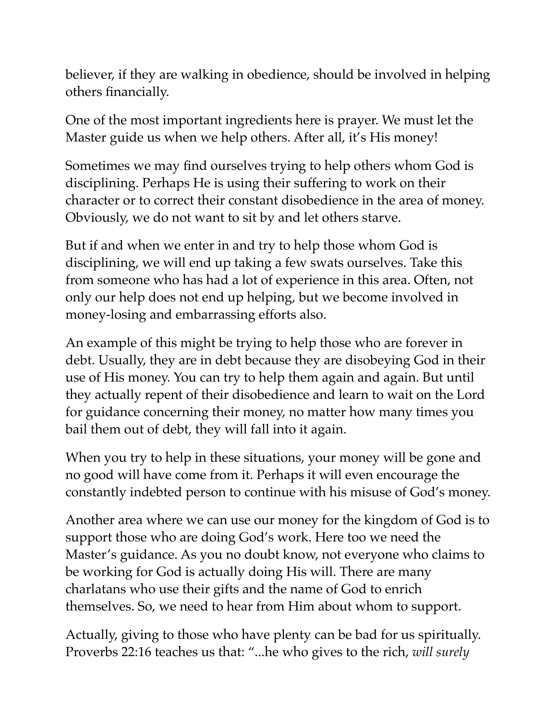believer, if they are walking in obedience, should be involved in helping others financially.

One of the most important ingredients here is prayer. We must let the Master guide us when we help others. After all, it's His money!

Sometimes we may find ourselves trying to help others whom God is disciplining. Perhaps He is using their suffering to work on their character or to correct their constant disobedience in the area of money. Obviously, we do not want to sit by and let others starve.

But if and when we enter in and try to help those whom God is disciplining, we will end up taking a few swats ourselves. Take this from someone who has had a lot of experience in this area. Often, not only our help does not end up helping, but we become involved in money-losing and embarrassing efforts also.

An example of this might be trying to help those who are forever in debt. Usually, they are in debt because they are disobeying God in their use of His money. You can try to help them again and again. But until they actually repent of their disobedience and learn to wait on the Lord for guidance concerning their money, no matter how many times you bail them out of debt, they will fall into it again.

When you try to help in these situations, your money will be gone and no good will have come from it. Perhaps it will even encourage the constantly indebted person to continue with his misuse of God's money.

Another area where we can use our money for the kingdom of God is to support those who are doing God's work. Here too we need the Master's guidance. As you no doubt know, not everyone who claims to be working for God is actually doing His will. There are many charlatans who use their gifts and the name of God to enrich themselves. So, we need to hear from Him about whom to support.

Actually, giving to those who have plenty can be bad for us spiritually. Proverbs 22:16 teaches us that: "...he who gives to the rich, *will surely*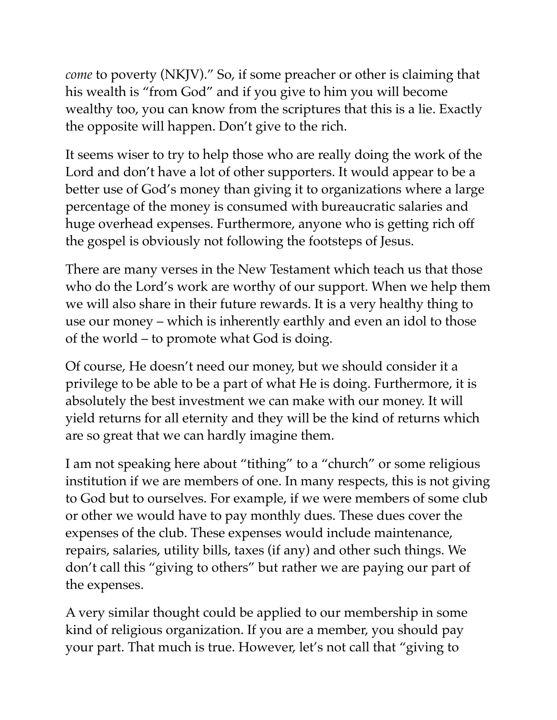*come* to poverty (NKJV)." So, if some preacher or other is claiming that his wealth is "from God" and if you give to him you will become wealthy too, you can know from the scriptures that this is a lie. Exactly the opposite will happen. Don't give to the rich.

It seems wiser to try to help those who are really doing the work of the Lord and don't have a lot of other supporters. It would appear to be a better use of God's money than giving it to organizations where a large percentage of the money is consumed with bureaucratic salaries and huge overhead expenses. Furthermore, anyone who is getting rich off the gospel is obviously not following the footsteps of Jesus.

There are many verses in the New Testament which teach us that those who do the Lord's work are worthy of our support. When we help them we will also share in their future rewards. It is a very healthy thing to use our money – which is inherently earthly and even an idol to those of the world – to promote what God is doing.

Of course, He doesn't need our money, but we should consider it a privilege to be able to be a part of what He is doing. Furthermore, it is absolutely the best investment we can make with our money. It will yield returns for all eternity and they will be the kind of returns which are so great that we can hardly imagine them.

I am not speaking here about "tithing" to a "church" or some religious institution if we are members of one. In many respects, this is not giving to God but to ourselves. For example, if we were members of some club or other we would have to pay monthly dues. These dues cover the expenses of the club. These expenses would include maintenance, repairs, salaries, utility bills, taxes (if any) and other such things. We don't call this "giving to others" but rather we are paying our part of the expenses.

A very similar thought could be applied to our membership in some kind of religious organization. If you are a member, you should pay your part. That much is true. However, let's not call that "giving to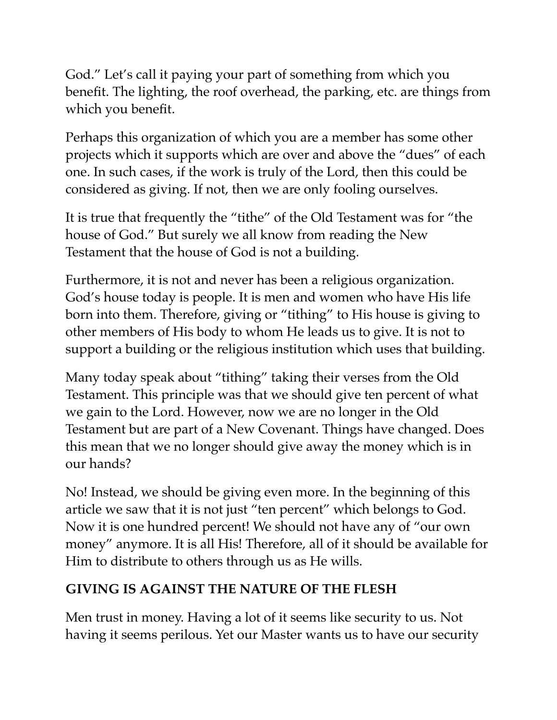God." Let's call it paying your part of something from which you benefit. The lighting, the roof overhead, the parking, etc. are things from which you benefit.

Perhaps this organization of which you are a member has some other projects which it supports which are over and above the "dues" of each one. In such cases, if the work is truly of the Lord, then this could be considered as giving. If not, then we are only fooling ourselves.

It is true that frequently the "tithe" of the Old Testament was for "the house of God." But surely we all know from reading the New Testament that the house of God is not a building.

Furthermore, it is not and never has been a religious organization. God's house today is people. It is men and women who have His life born into them. Therefore, giving or "tithing" to His house is giving to other members of His body to whom He leads us to give. It is not to support a building or the religious institution which uses that building.

Many today speak about "tithing" taking their verses from the Old Testament. This principle was that we should give ten percent of what we gain to the Lord. However, now we are no longer in the Old Testament but are part of a New Covenant. Things have changed. Does this mean that we no longer should give away the money which is in our hands?

No! Instead, we should be giving even more. In the beginning of this article we saw that it is not just "ten percent" which belongs to God. Now it is one hundred percent! We should not have any of "our own money" anymore. It is all His! Therefore, all of it should be available for Him to distribute to others through us as He wills.

## **GIVING IS AGAINST THE NATURE OF THE FLESH**

Men trust in money. Having a lot of it seems like security to us. Not having it seems perilous. Yet our Master wants us to have our security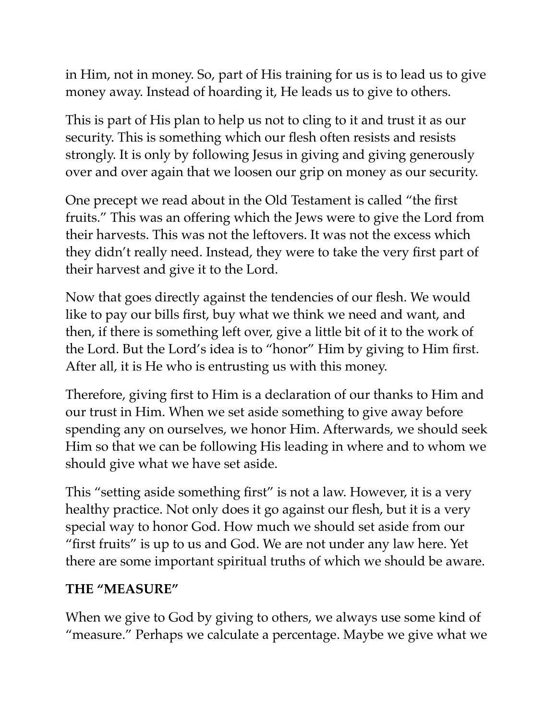in Him, not in money. So, part of His training for us is to lead us to give money away. Instead of hoarding it, He leads us to give to others.

This is part of His plan to help us not to cling to it and trust it as our security. This is something which our flesh often resists and resists strongly. It is only by following Jesus in giving and giving generously over and over again that we loosen our grip on money as our security.

One precept we read about in the Old Testament is called "the first fruits." This was an offering which the Jews were to give the Lord from their harvests. This was not the leftovers. It was not the excess which they didn't really need. Instead, they were to take the very first part of their harvest and give it to the Lord.

Now that goes directly against the tendencies of our flesh. We would like to pay our bills first, buy what we think we need and want, and then, if there is something left over, give a little bit of it to the work of the Lord. But the Lord's idea is to "honor" Him by giving to Him first. After all, it is He who is entrusting us with this money.

Therefore, giving first to Him is a declaration of our thanks to Him and our trust in Him. When we set aside something to give away before spending any on ourselves, we honor Him. Afterwards, we should seek Him so that we can be following His leading in where and to whom we should give what we have set aside.

This "setting aside something first" is not a law. However, it is a very healthy practice. Not only does it go against our flesh, but it is a very special way to honor God. How much we should set aside from our "first fruits" is up to us and God. We are not under any law here. Yet there are some important spiritual truths of which we should be aware.

#### **THE "MEASURE"**

When we give to God by giving to others, we always use some kind of "measure." Perhaps we calculate a percentage. Maybe we give what we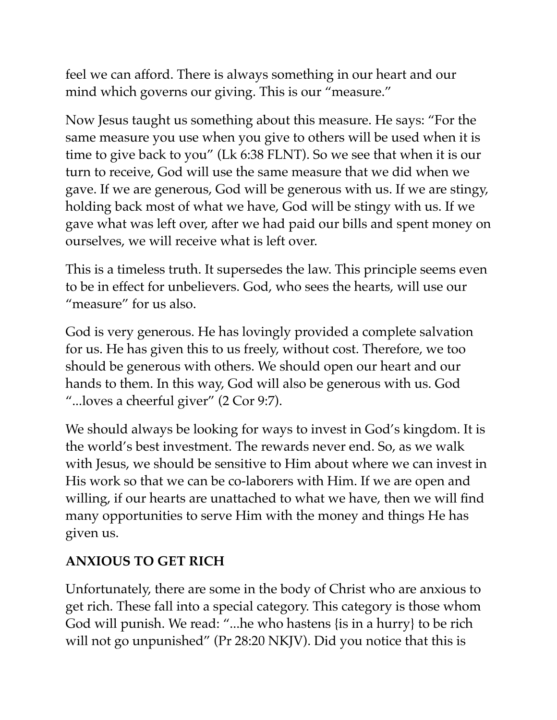feel we can afford. There is always something in our heart and our mind which governs our giving. This is our "measure."

Now Jesus taught us something about this measure. He says: "For the same measure you use when you give to others will be used when it is time to give back to you" (Lk 6:38 FLNT). So we see that when it is our turn to receive, God will use the same measure that we did when we gave. If we are generous, God will be generous with us. If we are stingy, holding back most of what we have, God will be stingy with us. If we gave what was left over, after we had paid our bills and spent money on ourselves, we will receive what is left over.

This is a timeless truth. It supersedes the law. This principle seems even to be in effect for unbelievers. God, who sees the hearts, will use our "measure" for us also.

God is very generous. He has lovingly provided a complete salvation for us. He has given this to us freely, without cost. Therefore, we too should be generous with others. We should open our heart and our hands to them. In this way, God will also be generous with us. God "...loves a cheerful giver" (2 Cor 9:7).

We should always be looking for ways to invest in God's kingdom. It is the world's best investment. The rewards never end. So, as we walk with Jesus, we should be sensitive to Him about where we can invest in His work so that we can be co-laborers with Him. If we are open and willing, if our hearts are unattached to what we have, then we will find many opportunities to serve Him with the money and things He has given us.

## **ANXIOUS TO GET RICH**

Unfortunately, there are some in the body of Christ who are anxious to get rich. These fall into a special category. This category is those whom God will punish. We read: "...he who hastens {is in a hurry} to be rich will not go unpunished" (Pr 28:20 NKJV). Did you notice that this is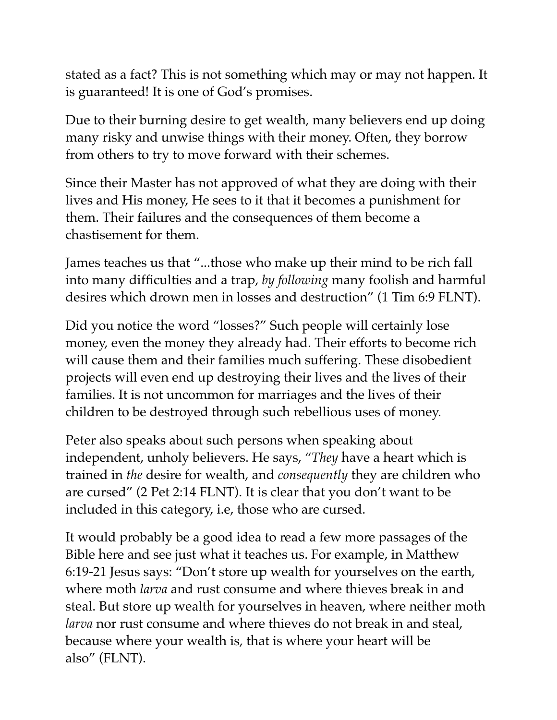stated as a fact? This is not something which may or may not happen. It is guaranteed! It is one of God's promises.

Due to their burning desire to get wealth, many believers end up doing many risky and unwise things with their money. Often, they borrow from others to try to move forward with their schemes.

Since their Master has not approved of what they are doing with their lives and His money, He sees to it that it becomes a punishment for them. Their failures and the consequences of them become a chastisement for them.

James teaches us that "...those who make up their mind to be rich fall into many difficulties and a trap, *by following* many foolish and harmful desires which drown men in losses and destruction" (1 Tim 6:9 FLNT).

Did you notice the word "losses?" Such people will certainly lose money, even the money they already had. Their efforts to become rich will cause them and their families much suffering. These disobedient projects will even end up destroying their lives and the lives of their families. It is not uncommon for marriages and the lives of their children to be destroyed through such rebellious uses of money.

Peter also speaks about such persons when speaking about independent, unholy believers. He says, "*They* have a heart which is trained in *the* desire for wealth, and *consequently* they are children who are cursed" (2 Pet 2:14 FLNT). It is clear that you don't want to be included in this category, i.e, those who are cursed.

It would probably be a good idea to read a few more passages of the Bible here and see just what it teaches us. For example, in Matthew 6:19-21 Jesus says: "Don't store up wealth for yourselves on the earth, where moth *larva* and rust consume and where thieves break in and steal. But store up wealth for yourselves in heaven, where neither moth *larva* nor rust consume and where thieves do not break in and steal, because where your wealth is, that is where your heart will be also" (FLNT).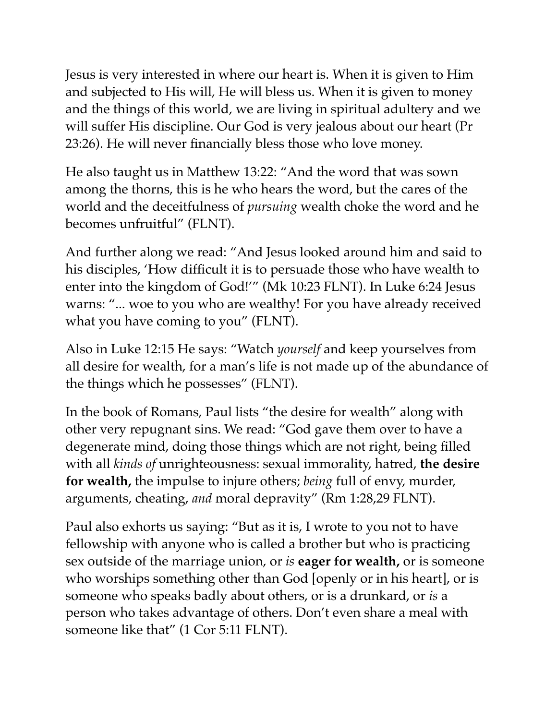Jesus is very interested in where our heart is. When it is given to Him and subjected to His will, He will bless us. When it is given to money and the things of this world, we are living in spiritual adultery and we will suffer His discipline. Our God is very jealous about our heart (Pr 23:26). He will never financially bless those who love money.

He also taught us in Matthew 13:22: "And the word that was sown among the thorns, this is he who hears the word, but the cares of the world and the deceitfulness of *pursuing* wealth choke the word and he becomes unfruitful" (FLNT).

And further along we read: "And Jesus looked around him and said to his disciples, 'How difficult it is to persuade those who have wealth to enter into the kingdom of God!'" (Mk 10:23 FLNT). In Luke 6:24 Jesus warns: "... woe to you who are wealthy! For you have already received what you have coming to you" (FLNT).

Also in Luke 12:15 He says: "Watch *yourself* and keep yourselves from all desire for wealth, for a man's life is not made up of the abundance of the things which he possesses" (FLNT).

In the book of Romans, Paul lists "the desire for wealth" along with other very repugnant sins. We read: "God gave them over to have a degenerate mind, doing those things which are not right, being filled with all *kinds of* unrighteousness: sexual immorality, hatred, **the desire for wealth,** the impulse to injure others; *being* full of envy, murder, arguments, cheating, *and* moral depravity" (Rm 1:28,29 FLNT).

Paul also exhorts us saying: "But as it is, I wrote to you not to have fellowship with anyone who is called a brother but who is practicing sex outside of the marriage union, or *is* **eager for wealth,** or is someone who worships something other than God [openly or in his heart], or is someone who speaks badly about others, or is a drunkard, or *is* a person who takes advantage of others. Don't even share a meal with someone like that" (1 Cor 5:11 FLNT).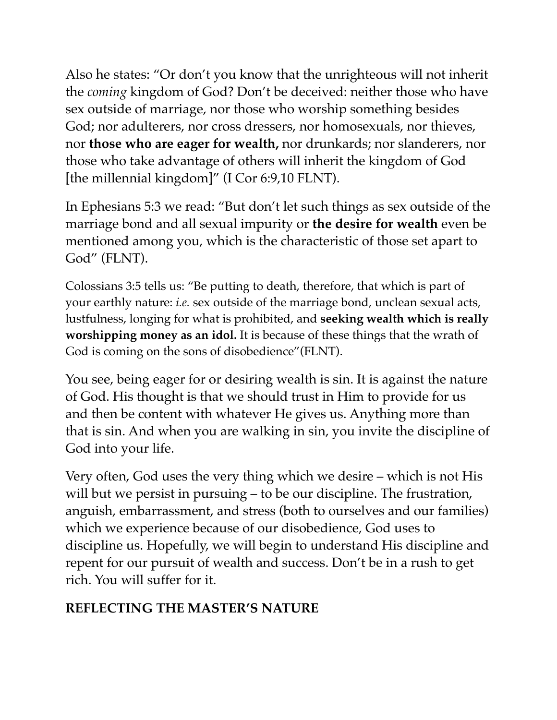Also he states: "Or don't you know that the unrighteous will not inherit the *coming* kingdom of God? Don't be deceived: neither those who have sex outside of marriage, nor those who worship something besides God; nor adulterers, nor cross dressers, nor homosexuals, nor thieves, nor **those who are eager for wealth,** nor drunkards; nor slanderers, nor those who take advantage of others will inherit the kingdom of God [the millennial kingdom]" (I Cor 6:9,10 FLNT).

In Ephesians 5:3 we read: "But don't let such things as sex outside of the marriage bond and all sexual impurity or **the desire for wealth** even be mentioned among you, which is the characteristic of those set apart to God" (FLNT).

Colossians 3:5 tells us: "Be putting to death, therefore, that which is part of your earthly nature: *i.e.* sex outside of the marriage bond, unclean sexual acts, lustfulness, longing for what is prohibited, and **seeking wealth which is really worshipping money as an idol.** It is because of these things that the wrath of God is coming on the sons of disobedience"(FLNT).

You see, being eager for or desiring wealth is sin. It is against the nature of God. His thought is that we should trust in Him to provide for us and then be content with whatever He gives us. Anything more than that is sin. And when you are walking in sin, you invite the discipline of God into your life.

Very often, God uses the very thing which we desire – which is not His will but we persist in pursuing – to be our discipline. The frustration, anguish, embarrassment, and stress (both to ourselves and our families) which we experience because of our disobedience, God uses to discipline us. Hopefully, we will begin to understand His discipline and repent for our pursuit of wealth and success. Don't be in a rush to get rich. You will suffer for it.

#### **REFLECTING THE MASTER'S NATURE**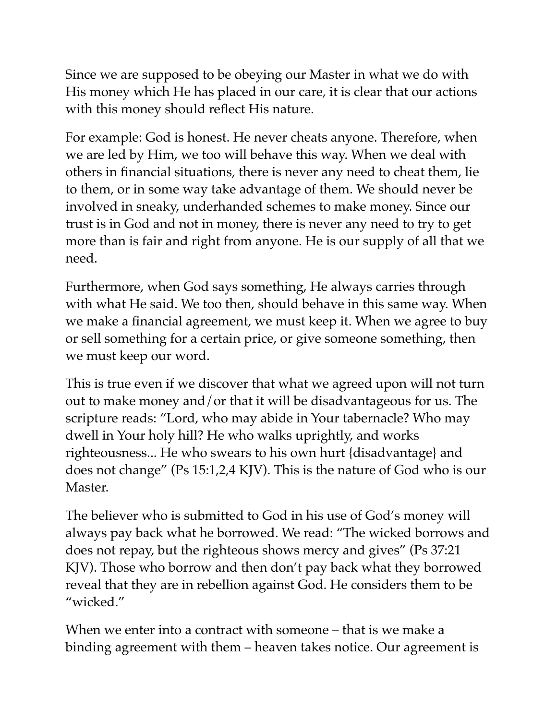Since we are supposed to be obeying our Master in what we do with His money which He has placed in our care, it is clear that our actions with this money should reflect His nature.

For example: God is honest. He never cheats anyone. Therefore, when we are led by Him, we too will behave this way. When we deal with others in financial situations, there is never any need to cheat them, lie to them, or in some way take advantage of them. We should never be involved in sneaky, underhanded schemes to make money. Since our trust is in God and not in money, there is never any need to try to get more than is fair and right from anyone. He is our supply of all that we need.

Furthermore, when God says something, He always carries through with what He said. We too then, should behave in this same way. When we make a financial agreement, we must keep it. When we agree to buy or sell something for a certain price, or give someone something, then we must keep our word.

This is true even if we discover that what we agreed upon will not turn out to make money and/or that it will be disadvantageous for us. The scripture reads: "Lord, who may abide in Your tabernacle? Who may dwell in Your holy hill? He who walks uprightly, and works righteousness... He who swears to his own hurt {disadvantage} and does not change" (Ps 15:1,2,4 KJV). This is the nature of God who is our Master.

The believer who is submitted to God in his use of God's money will always pay back what he borrowed. We read: "The wicked borrows and does not repay, but the righteous shows mercy and gives" (Ps 37:21 KJV). Those who borrow and then don't pay back what they borrowed reveal that they are in rebellion against God. He considers them to be "wicked."

When we enter into a contract with someone – that is we make a binding agreement with them – heaven takes notice. Our agreement is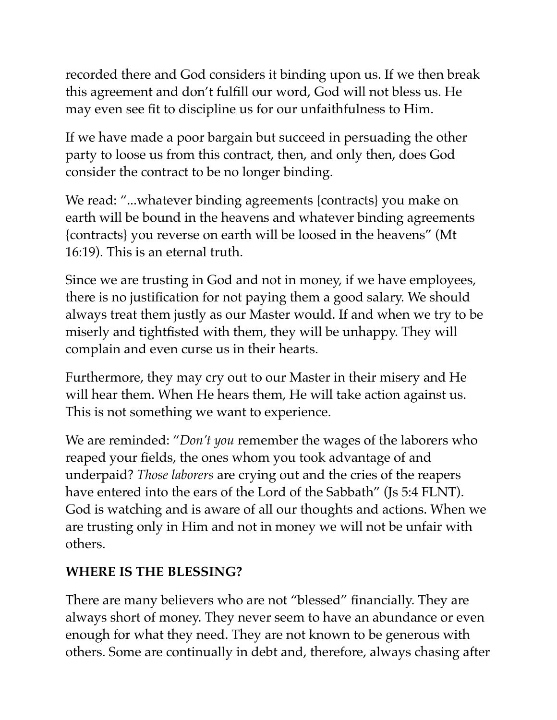recorded there and God considers it binding upon us. If we then break this agreement and don't fulfill our word, God will not bless us. He may even see fit to discipline us for our unfaithfulness to Him.

If we have made a poor bargain but succeed in persuading the other party to loose us from this contract, then, and only then, does God consider the contract to be no longer binding.

We read: "...whatever binding agreements {contracts} you make on earth will be bound in the heavens and whatever binding agreements {contracts} you reverse on earth will be loosed in the heavens" (Mt 16:19). This is an eternal truth.

Since we are trusting in God and not in money, if we have employees, there is no justification for not paying them a good salary. We should always treat them justly as our Master would. If and when we try to be miserly and tightfisted with them, they will be unhappy. They will complain and even curse us in their hearts.

Furthermore, they may cry out to our Master in their misery and He will hear them. When He hears them, He will take action against us. This is not something we want to experience.

We are reminded: "*Don't you* remember the wages of the laborers who reaped your fields, the ones whom you took advantage of and underpaid? *Those laborers* are crying out and the cries of the reapers have entered into the ears of the Lord of the Sabbath" (Js 5:4 FLNT). God is watching and is aware of all our thoughts and actions. When we are trusting only in Him and not in money we will not be unfair with others.

#### **WHERE IS THE BLESSING?**

There are many believers who are not "blessed" financially. They are always short of money. They never seem to have an abundance or even enough for what they need. They are not known to be generous with others. Some are continually in debt and, therefore, always chasing after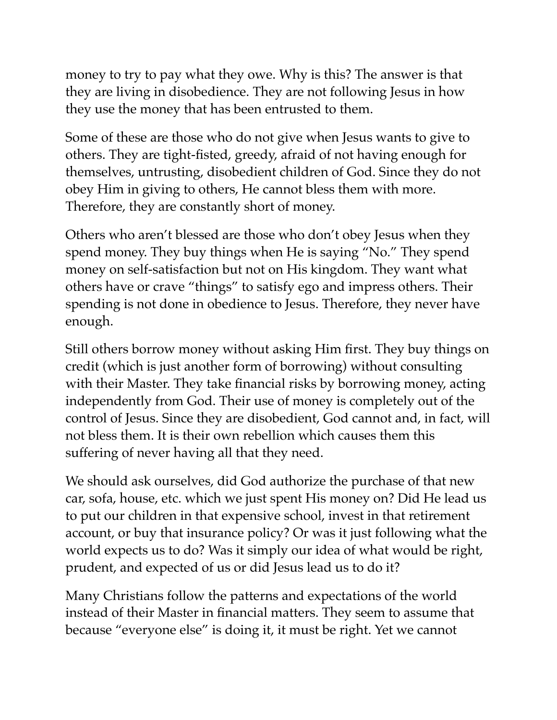money to try to pay what they owe. Why is this? The answer is that they are living in disobedience. They are not following Jesus in how they use the money that has been entrusted to them.

Some of these are those who do not give when Jesus wants to give to others. They are tight-fisted, greedy, afraid of not having enough for themselves, untrusting, disobedient children of God. Since they do not obey Him in giving to others, He cannot bless them with more. Therefore, they are constantly short of money.

Others who aren't blessed are those who don't obey Jesus when they spend money. They buy things when He is saying "No." They spend money on self-satisfaction but not on His kingdom. They want what others have or crave "things" to satisfy ego and impress others. Their spending is not done in obedience to Jesus. Therefore, they never have enough.

Still others borrow money without asking Him first. They buy things on credit (which is just another form of borrowing) without consulting with their Master. They take financial risks by borrowing money, acting independently from God. Their use of money is completely out of the control of Jesus. Since they are disobedient, God cannot and, in fact, will not bless them. It is their own rebellion which causes them this suffering of never having all that they need.

We should ask ourselves, did God authorize the purchase of that new car, sofa, house, etc. which we just spent His money on? Did He lead us to put our children in that expensive school, invest in that retirement account, or buy that insurance policy? Or was it just following what the world expects us to do? Was it simply our idea of what would be right, prudent, and expected of us or did Jesus lead us to do it?

Many Christians follow the patterns and expectations of the world instead of their Master in financial matters. They seem to assume that because "everyone else" is doing it, it must be right. Yet we cannot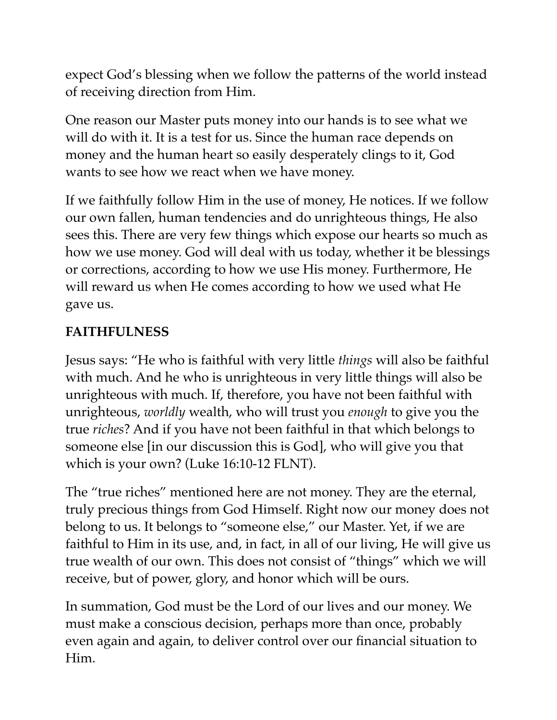expect God's blessing when we follow the patterns of the world instead of receiving direction from Him.

One reason our Master puts money into our hands is to see what we will do with it. It is a test for us. Since the human race depends on money and the human heart so easily desperately clings to it, God wants to see how we react when we have money.

If we faithfully follow Him in the use of money, He notices. If we follow our own fallen, human tendencies and do unrighteous things, He also sees this. There are very few things which expose our hearts so much as how we use money. God will deal with us today, whether it be blessings or corrections, according to how we use His money. Furthermore, He will reward us when He comes according to how we used what He gave us.

## **FAITHFULNESS**

Jesus says: "He who is faithful with very little *things* will also be faithful with much. And he who is unrighteous in very little things will also be unrighteous with much. If, therefore, you have not been faithful with unrighteous, *worldly* wealth, who will trust you *enough* to give you the true *riches*? And if you have not been faithful in that which belongs to someone else [in our discussion this is God], who will give you that which is your own? (Luke 16:10-12 FLNT).

The "true riches" mentioned here are not money. They are the eternal, truly precious things from God Himself. Right now our money does not belong to us. It belongs to "someone else," our Master. Yet, if we are faithful to Him in its use, and, in fact, in all of our living, He will give us true wealth of our own. This does not consist of "things" which we will receive, but of power, glory, and honor which will be ours.

In summation, God must be the Lord of our lives and our money. We must make a conscious decision, perhaps more than once, probably even again and again, to deliver control over our financial situation to Him.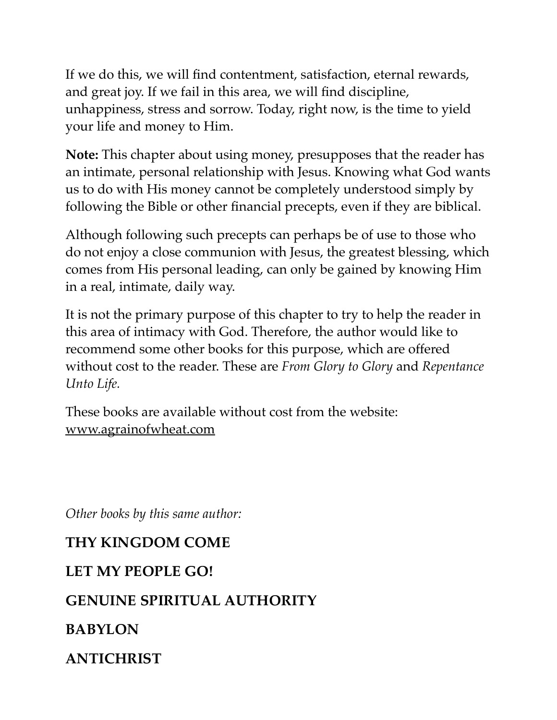If we do this, we will find contentment, satisfaction, eternal rewards, and great joy. If we fail in this area, we will find discipline, unhappiness, stress and sorrow. Today, right now, is the time to yield your life and money to Him.

**Note:** This chapter about using money, presupposes that the reader has an intimate, personal relationship with Jesus. Knowing what God wants us to do with His money cannot be completely understood simply by following the Bible or other financial precepts, even if they are biblical.

Although following such precepts can perhaps be of use to those who do not enjoy a close communion with Jesus, the greatest blessing, which comes from His personal leading, can only be gained by knowing Him in a real, intimate, daily way.

It is not the primary purpose of this chapter to try to help the reader in this area of intimacy with God. Therefore, the author would like to recommend some other books for this purpose, which are offered without cost to the reader. These are *From Glory to Glory* and *Repentance Unto Life.* 

These books are available without cost from the website: [www.agrainofwheat.com](http://www.agrainofwheat.com)

*Other books by this same author:* 

## **THY KINGDOM COME**

#### **LET MY PEOPLE GO!**

## **GENUINE SPIRITUAL AUTHORITY**

## **BABYLON**

## **ANTICHRIST**